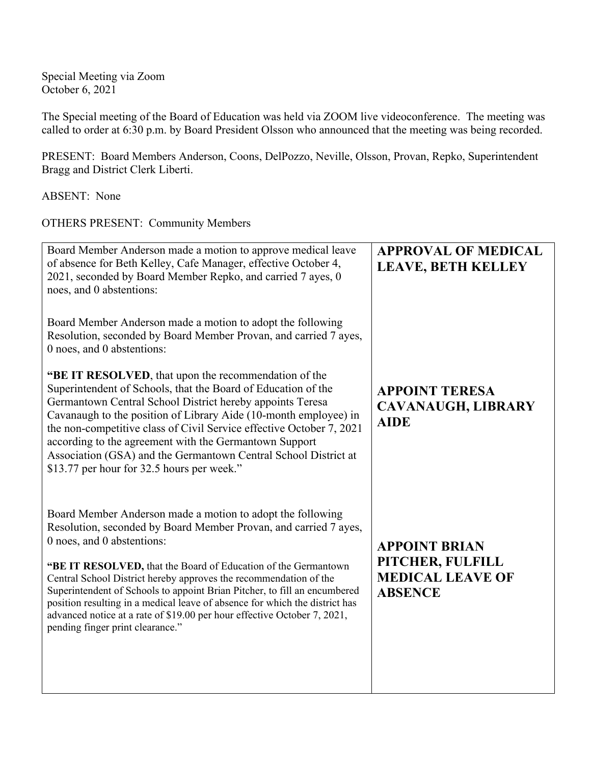Special Meeting via Zoom October 6, 2021

The Special meeting of the Board of Education was held via ZOOM live videoconference. The meeting was called to order at 6:30 p.m. by Board President Olsson who announced that the meeting was being recorded.

PRESENT: Board Members Anderson, Coons, DelPozzo, Neville, Olsson, Provan, Repko, Superintendent Bragg and District Clerk Liberti.

ABSENT: None

OTHERS PRESENT: Community Members

| Board Member Anderson made a motion to approve medical leave<br>of absence for Beth Kelley, Cafe Manager, effective October 4,<br>2021, seconded by Board Member Repko, and carried 7 ayes, 0<br>noes, and 0 abstentions:                                                                                                                                                                                                                                                                                                                                                       | <b>APPROVAL OF MEDICAL</b><br><b>LEAVE, BETH KELLEY</b>                               |
|---------------------------------------------------------------------------------------------------------------------------------------------------------------------------------------------------------------------------------------------------------------------------------------------------------------------------------------------------------------------------------------------------------------------------------------------------------------------------------------------------------------------------------------------------------------------------------|---------------------------------------------------------------------------------------|
| Board Member Anderson made a motion to adopt the following<br>Resolution, seconded by Board Member Provan, and carried 7 ayes,<br>0 noes, and 0 abstentions:                                                                                                                                                                                                                                                                                                                                                                                                                    |                                                                                       |
| "BE IT RESOLVED, that upon the recommendation of the<br>Superintendent of Schools, that the Board of Education of the<br>Germantown Central School District hereby appoints Teresa<br>Cavanaugh to the position of Library Aide (10-month employee) in<br>the non-competitive class of Civil Service effective October 7, 2021<br>according to the agreement with the Germantown Support<br>Association (GSA) and the Germantown Central School District at<br>\$13.77 per hour for 32.5 hours per week."                                                                       | <b>APPOINT TERESA</b><br><b>CAVANAUGH, LIBRARY</b><br><b>AIDE</b>                     |
| Board Member Anderson made a motion to adopt the following<br>Resolution, seconded by Board Member Provan, and carried 7 ayes,<br>0 noes, and 0 abstentions:<br>"BE IT RESOLVED, that the Board of Education of the Germantown<br>Central School District hereby approves the recommendation of the<br>Superintendent of Schools to appoint Brian Pitcher, to fill an encumbered<br>position resulting in a medical leave of absence for which the district has<br>advanced notice at a rate of \$19.00 per hour effective October 7, 2021,<br>pending finger print clearance." | <b>APPOINT BRIAN</b><br>PITCHER, FULFILL<br><b>MEDICAL LEAVE OF</b><br><b>ABSENCE</b> |